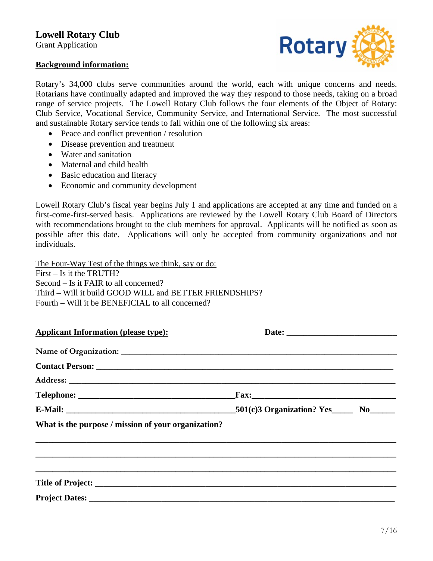## **Lowell Rotary Club**

Grant Application

## **Background information:**



Rotary's 34,000 clubs serve communities around the world, each with unique concerns and needs. Rotarians have continually adapted and improved the way they respond to those needs, taking on a broad range of service projects. The Lowell Rotary Club follows the four elements of the Object of Rotary: Club Service, Vocational Service, Community Service, and International Service. The most successful and sustainable Rotary service tends to fall within one of the following six areas:

- Peace and conflict prevention / resolution
- Disease prevention and treatment
- Water and sanitation
- Maternal and child health
- Basic education and literacy
- Economic and community development

Lowell Rotary Club's fiscal year begins July 1 and applications are accepted at any time and funded on a first-come-first-served basis. Applications are reviewed by the Lowell Rotary Club Board of Directors with recommendations brought to the club members for approval. Applicants will be notified as soon as possible after this date. Applications will only be accepted from community organizations and not individuals.

The Four-Way Test of the things we think, say or do: First – Is it the TRUTH? Second – Is it FAIR to all concerned? Third – Will it build GOOD WILL and BETTER FRIENDSHIPS? Fourth – Will it be BENEFICIAL to all concerned?

| <b>Applicant Information (please type):</b>         |  |
|-----------------------------------------------------|--|
|                                                     |  |
|                                                     |  |
|                                                     |  |
|                                                     |  |
|                                                     |  |
| What is the purpose / mission of your organization? |  |
|                                                     |  |
|                                                     |  |
|                                                     |  |
|                                                     |  |